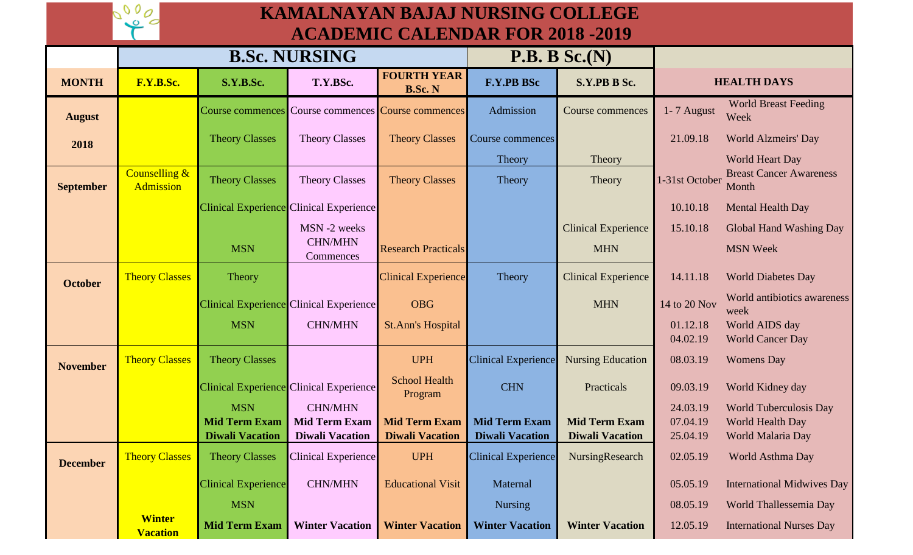## **KAMALNAYAN BAJAJ NURSING COLLEGE ACADEMIC CALENDAR FOR 2018 -2019**

| ACADEMIC CAEENDAN I ON 2010 -2017 |                                   |                            |                                         |                                      |                            |                            |                      |                                           |
|-----------------------------------|-----------------------------------|----------------------------|-----------------------------------------|--------------------------------------|----------------------------|----------------------------|----------------------|-------------------------------------------|
|                                   | <b>B.Sc. NURSING</b>              |                            |                                         |                                      | P.B. B Sc.(N)              |                            |                      |                                           |
| <b>MONTH</b>                      | F.Y.B.Sc.                         | S.Y.B.Sc.                  | T.Y.BSc.                                | <b>FOURTH YEAR</b><br><b>B.Sc. N</b> | <b>F.Y.PB BSc</b>          | S.Y.PB B Sc.               |                      | <b>HEALTH DAYS</b>                        |
| <b>August</b>                     |                                   | Course commences           |                                         | Course commences Course commences    | Admission                  | Course commences           | 1-7 August           | <b>World Breast Feeding</b><br>Week       |
| 2018                              |                                   | <b>Theory Classes</b>      | <b>Theory Classes</b>                   | <b>Theory Classes</b>                | Course commences           |                            | 21.09.18             | <b>World Alzmeirs' Day</b>                |
|                                   |                                   |                            |                                         |                                      | Theory                     | Theory                     |                      | <b>World Heart Day</b>                    |
| <b>September</b>                  | Counselling &<br><b>Admission</b> | <b>Theory Classes</b>      | <b>Theory Classes</b>                   | <b>Theory Classes</b>                | Theory                     | Theory                     | 1-31st October       | <b>Breast Cancer Awareness</b><br>Month   |
|                                   |                                   |                            | Clinical Experience Clinical Experience |                                      |                            |                            | 10.10.18             | Mental Health Day                         |
|                                   |                                   |                            | MSN-2 weeks                             |                                      |                            | <b>Clinical Experience</b> | 15.10.18             | Global Hand Washing Day                   |
|                                   |                                   | <b>MSN</b>                 | <b>CHN/MHN</b><br>Commences             | <b>Research Practicals</b>           |                            | <b>MHN</b>                 |                      | <b>MSN Week</b>                           |
| <b>October</b>                    | <b>Theory Classes</b>             | Theory                     |                                         | <b>Clinical Experience</b>           | Theory                     | <b>Clinical Experience</b> | 14.11.18             | <b>World Diabetes Day</b>                 |
|                                   |                                   |                            | Clinical Experience Clinical Experience | <b>OBG</b>                           |                            | <b>MHN</b>                 | 14 to 20 Nov         | World antibiotics awareness<br>week       |
|                                   |                                   | <b>MSN</b>                 | <b>CHN/MHN</b>                          | <b>St.Ann's Hospital</b>             |                            |                            | 01.12.18<br>04.02.19 | World AIDS day<br><b>World Cancer Day</b> |
| <b>November</b>                   | <b>Theory Classes</b>             | <b>Theory Classes</b>      |                                         | <b>UPH</b>                           | <b>Clinical Experience</b> | <b>Nursing Education</b>   | 08.03.19             | <b>Womens Day</b>                         |
|                                   |                                   |                            | Clinical Experience Clinical Experience | <b>School Health</b><br>Program      | <b>CHN</b>                 | Practicals                 | 09.03.19             | World Kidney day                          |
|                                   |                                   | <b>MSN</b>                 | <b>CHN/MHN</b>                          |                                      |                            |                            | 24.03.19             | <b>World Tuberculosis Day</b>             |
|                                   |                                   | <b>Mid Term Exam</b>       | <b>Mid Term Exam</b>                    | <b>Mid Term Exam</b>                 | <b>Mid Term Exam</b>       | <b>Mid Term Exam</b>       | 07.04.19             | World Health Day                          |
|                                   |                                   | <b>Diwali Vacation</b>     | <b>Diwali Vacation</b>                  | <b>Diwali Vacation</b>               | <b>Diwali Vacation</b>     | <b>Diwali Vacation</b>     | 25.04.19             | World Malaria Day                         |
| <b>December</b>                   | <b>Theory Classes</b>             | <b>Theory Classes</b>      | <b>Clinical Experience</b>              | <b>UPH</b>                           | <b>Clinical Experience</b> | NursingResearch            | 02.05.19             | World Asthma Day                          |
|                                   |                                   | <b>Clinical Experience</b> | <b>CHN/MHN</b>                          | <b>Educational Visit</b>             | Maternal                   |                            | 05.05.19             | <b>International Midwives Day</b>         |
|                                   |                                   | <b>MSN</b>                 |                                         |                                      | <b>Nursing</b>             |                            | 08.05.19             | World Thallessemia Day                    |
|                                   | <b>Winter</b><br><b>Vacation</b>  | <b>Mid Term Exam</b>       | <b>Winter Vacation</b>                  | <b>Winter Vacation</b>               | <b>Winter Vacation</b>     | <b>Winter Vacation</b>     | 12.05.19             | <b>International Nurses Day</b>           |